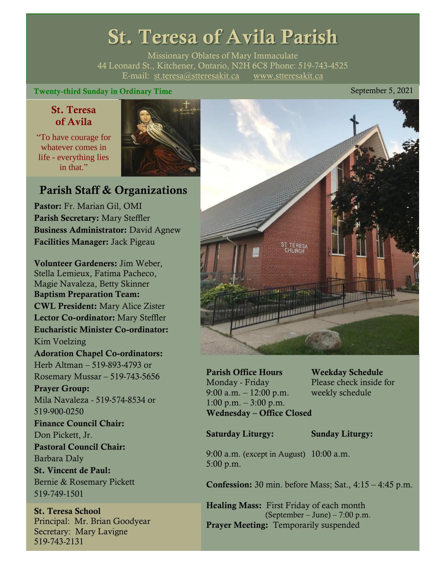# St. Teresa of Avila Parish

Missionary Oblates of Mary Immaculate 44 Leonard St., Kitchener, Ontario, N2H 6C8 Phone: 519-743-4525 E-mail: [st.teresa@stteresakit.ca](mailto:st.teresa@stteresakit.ca) [www.stteresakit.ca](http://www.stteresakit.ca/)

### Twenty-third Sunday in Ordinary Time September 5, 2021

# St. Teresa of Avila

"To have courage for whatever comes in life - everything lies in that."



# Parish Staff & Organizations

Pastor: Fr. Marian Gil, OMI Parish Secretary: Mary Steffler Business Administrator: David Agnew Facilities Manager: Jack Pigeau

Volunteer Gardeners: Jim Weber, Stella Lemieux, Fatima Pacheco, Magie Navaleza, Betty Skinner Baptism Preparation Team: CWL President: Mary Alice Zister Lector Co-ordinator: Mary Steffler Eucharistic Minister Co-ordinator: Kim Voelzing Adoration Chapel Co-ordinators: Herb Altman – 519-893-4793 or Rosemary Mussar – 519-743-5656 Prayer Group: Mila Navaleza - 519-574-8534 or 519-900-0250 Finance Council Chair: Don Pickett, Jr. Pastoral Council Chair: Barbara Daly St. Vincent de Paul: Bernie & Rosemary Pickett 519-749-1501

St. Teresa School Principal: Mr. Brian Goodyear Secretary: Mary Lavigne 519-743-2131



Parish Office Hours Weekday Schedule Monday - Friday Please check inside for 9:00 a.m. – 12:00 p.m. weekly schedule  $1:00 \text{ p.m.} - 3:00 \text{ p.m.}$ Wednesday – Office Closed

Saturday Liturgy: Sunday Liturgy:

9:00 a.m. (except in August) 10:00 a.m. 5:00 p.m.

Confession: 30 min. before Mass; Sat., 4:15 – 4:45 p.m.

Healing Mass: First Friday of each month (September – June) – 7:00 p.m. Prayer Meeting: Temporarily suspended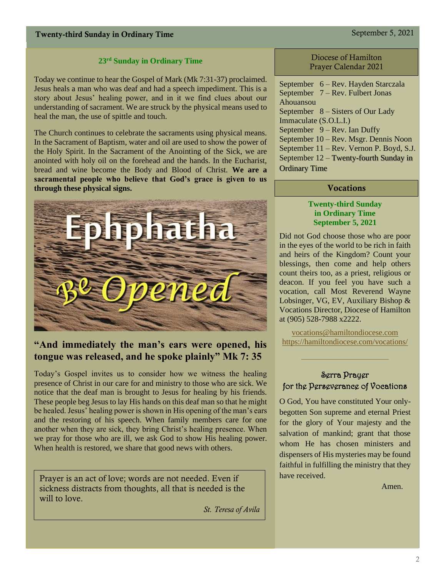# Twenty-third Sunday in Ordinary Time September 5, 2021

#### **23rd Sunday in Ordinary Time**

Today we continue to hear the Gospel of Mark (Mk 7:31-37) proclaimed. Jesus heals a man who was deaf and had a speech impediment. This is a story about Jesus' healing power, and in it we find clues about our understanding of sacrament. We are struck by the physical means used to heal the man, the use of spittle and touch.

The Church continues to celebrate the sacraments using physical means. In the Sacrament of Baptism, water and oil are used to show the power of the Holy Spirit. In the Sacrament of the Anointing of the Sick, we are anointed with holy oil on the forehead and the hands. In the Eucharist, bread and wine become the Body and Blood of Christ. **We are a sacramental people who believe that God's grace is given to us through these physical signs.**



# **"And immediately the man's ears were opened, his tongue was released, and he spoke plainly" Mk 7: 35**

Today's Gospel invites us to consider how we witness the healing presence of Christ in our care for and ministry to those who are sick. We notice that the deaf man is brought to Jesus for healing by his friends. These people beg Jesus to lay His hands on this deaf man so that he might be healed. Jesus' healing power is shown in His opening of the man's ears and the restoring of his speech. When family members care for one another when they are sick, they bring Christ's healing presence. When we pray for those who are ill, we ask God to show His healing power. When health is restored, we share that good news with others.

Prayer is an act of love; words are not needed. Even if sickness distracts from thoughts, all that is needed is the will to love.

 *St. Teresa of Avila*

#### Diocese of Hamilton Prayer Calendar 2021

|                       | September 6 – Rev. Hayden Starczala      |
|-----------------------|------------------------------------------|
|                       | September 7 – Rev. Fulbert Jonas         |
| Ahouansou             |                                          |
|                       | September 8 – Sisters of Our Lady        |
| Immaculate (S.O.L.I.) |                                          |
|                       | September 9 – Rev. Ian Duffy             |
|                       | September 10 – Rev. Msgr. Dennis Noon    |
|                       | September 11 – Rev. Vernon P. Boyd, S.J. |
|                       | September 12 – Twenty-fourth Sunday in   |
| <b>Ordinary Time</b>  |                                          |
|                       |                                          |

#### **Vocations**

#### **Twenty-third Sunday in Ordinary Time September 5, 2021**

Did not God choose those who are poor in the eyes of the world to be rich in faith and heirs of the Kingdom? Count your blessings, then come and help others count theirs too, as a priest, religious or deacon. If you feel you have such a vocation, call Most Reverend Wayne Lobsinger, VG, EV, Auxiliary Bishop & Vocations Director, Diocese of Hamilton at (905) 528-7988 x2222.

[vocations@hamiltondiocese.com](mailto:vocations@hamiltondiocese.com)  <https://hamiltondiocese.com/vocations/>

 $\_$ 

# Serra Prayer for the Perseverance of Vocations

O God, You have constituted Your onlybegotten Son supreme and eternal Priest for the glory of Your majesty and the salvation of mankind; grant that those whom He has chosen ministers and dispensers of His mysteries may be found faithful in fulfilling the ministry that they have received.

Amen.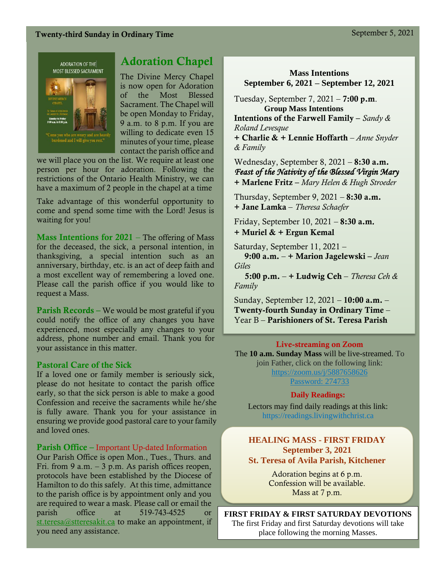# Twenty-third Sunday in Ordinary Time September 5, 2021

ADORATION OF THE MOST BLESSED SACRAMENT



# Adoration Chapel

The Divine Mercy Chapel is now open for Adoration<br>of the Most Blessed of the Most Blessed Sacrament. The Chapel will be open Monday to Friday, 9 a.m. to 8 p.m. If you are willing to dedicate even 15 minutes of your time, please contact the parish office and

we will place you on the list. We require at least one person per hour for adoration. Following the restrictions of the Ontario Health Ministry, we can have a maximum of 2 people in the chapel at a time

Take advantage of this wonderful opportunity to come and spend some time with the Lord! Jesus is waiting for you!

**Mass Intentions for 2021** – The offering of Mass for the deceased, the sick, a personal intention, in thanksgiving, a special intention such as an anniversary, birthday, etc. is an act of deep faith and a most excellent way of remembering a loved one. Please call the parish office if you would like to request a Mass.

Parish Records – We would be most grateful if you could notify the office of any changes you have experienced, most especially any changes to your address, phone number and email. Thank you for your assistance in this matter.

#### Pastoral Care of the Sick

If a loved one or family member is seriously sick, please do not hesitate to contact the parish office early, so that the sick person is able to make a good Confession and receive the sacraments while he/she is fully aware. Thank you for your assistance in ensuring we provide good pastoral care to your family and loved ones.

#### Parish Office – Important Up-dated Information

Our Parish Office is open Mon., Tues., Thurs. and Fri. from 9 a.m.  $-3$  p.m. As parish offices reopen, protocols have been established by the Diocese of Hamilton to do this safely. At this time, admittance to the parish office is by appointment only and you are required to wear a mask. Please call or email the parish office at 519-743-4525 or [st.teresa@stteresakit.ca](mailto:st.teresa@stteresakit.ca) to make an appointment, if you need any assistance.

**Mass Intentions September 6, 2021 – September 12, 2021**

Tuesday, September 7,  $2021 - 7:00$  p.m. **Group Mass Intentions**  Intentions of the Farwell Family – *Sandy & Roland Levesque*  + Charlie & + Lennie Hoffarth *– Anne Snyder & Family*

Wednesday, September 8, 2021 – **8:30 a.m.** *Feast of the Nativity of the Blessed Virgin Mary* + Marlene Fritz – *Mary Helen & Hugh Stroeder*

Thursday, September 9,  $2021 - 8:30$  a.m. + Jane Lamka – *Theresa Schaefer* 

Friday, September 10, 2021 – 8:30 a.m*.* 

 $+$  Muriel &  $+$  Ergun Kemal

Saturday, September 11, 2021 – 9:00 a.m. – + Marion Jagelewski – *Jean Giles*

 5:00 p.m. – + Ludwig Ceh – *Theresa Ceh & Family*

Sunday, September 12, 2021 – 10:00 a.m. – Twenty-fourth Sunday in Ordinary Time – Year B – Parishioners of St. Teresa Parish

#### Live-streaming on Zoom

The **10 a.m. Sunday Mass** will be live-streamed. To join Father, click on the following link: <https://zoom.us/j/5887658626> Password: 274733

#### **Daily Readings:**

Lectors may find daily readings at this link: https://readings.livingwithchrist.ca

#### **HEALING MASS - FIRST FRIDAY September 3, 2021 St. Teresa of Avila Parish, Kitchener**

Adoration begins at 6 p.m. Confession will be available. Mass at 7 p.m.

**FIRST FRIDAY & FIRST SATURDAY DEVOTIONS** The first Friday and first Saturday devotions will take place following the morning Masses.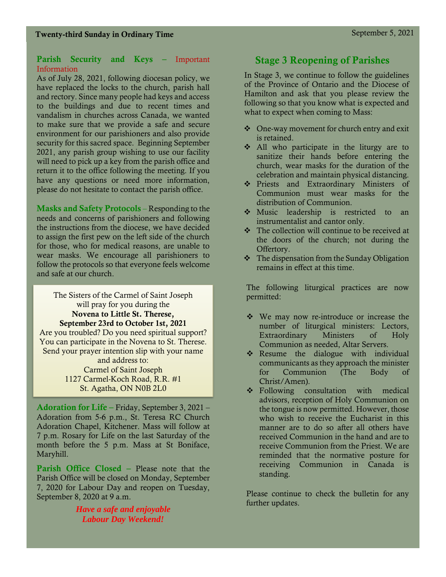# Twenty-third Sunday in Ordinary Time September 5, 2021

#### Parish Security and Keys – Important Information

As of July 28, 2021, following diocesan policy, we have replaced the locks to the church, parish hall and rectory. Since many people had keys and access to the buildings and due to recent times and vandalism in churches across Canada, we wanted to make sure that we provide a safe and secure environment for our parishioners and also provide security for this sacred space. Beginning September 2021, any parish group wishing to use our facility will need to pick up a key from the parish office and return it to the office following the meeting. If you have any questions or need more information, please do not hesitate to contact the parish office.

Masks and Safety Protocols – Responding to the needs and concerns of parishioners and following the instructions from the diocese, we have decided to assign the first pew on the left side of the church for those, who for medical reasons, are unable to wear masks. We encourage all parishioners to follow the protocols so that everyone feels welcome and safe at our church.

The Sisters of the Carmel of Saint Joseph will pray for you during the Novena to Little St. Therese, September 23rd to October 1st, 2021 Are you troubled? Do you need spiritual support? You can participate in the Novena to St. Therese. Send your prayer intention slip with your name and address to: Carmel of Saint Joseph 1127 Carmel-Koch Road, R.R. #1 St. Agatha, ON N0B 2L0

Adoration for Life – Friday, September 3, 2021 – Adoration from 5-6 p.m., St. Teresa RC Church Adoration Chapel, Kitchener. Mass will follow at 7 p.m. Rosary for Life on the last Saturday of the month before the 5 p.m. Mass at St Boniface, Maryhill.

Parish Office Closed – Please note that the Parish Office will be closed on Monday, September 7, 2020 for Labour Day and reopen on Tuesday, September 8, 2020 at 9 a.m.

> *Have a safe and enjoyable Labour Day Weekend!*

# Stage 3 Reopening of Parishes

In Stage 3, we continue to follow the guidelines of the Province of Ontario and the Diocese of Hamilton and ask that you please review the following so that you know what is expected and what to expect when coming to Mass:

- ❖ One-way movement for church entry and exit is retained.
- ❖ All who participate in the liturgy are to sanitize their hands before entering the church, wear masks for the duration of the celebration and maintain physical distancing.
- ❖ Priests and Extraordinary Ministers of Communion must wear masks for the distribution of Communion.
- ❖ Music leadership is restricted to an instrumentalist and cantor only.
- ❖ The collection will continue to be received at the doors of the church; not during the Offertory.
- ❖ The dispensation from the Sunday Obligation remains in effect at this time.

The following liturgical practices are now permitted:

- ❖ We may now re-introduce or increase the number of liturgical ministers: Lectors, Extraordinary Ministers of Holy Communion as needed, Altar Servers.
- ❖ Resume the dialogue with individual communicants as they approach the minister for Communion (The Body of Christ/Amen).
- ❖ Following consultation with medical advisors, reception of Holy Communion on the tongue is now permitted. However, those who wish to receive the Eucharist in this manner are to do so after all others have received Communion in the hand and are to receive Communion from the Priest. We are reminded that the normative posture for receiving Communion in Canada is standing.

Please continue to check the bulletin for any further updates.